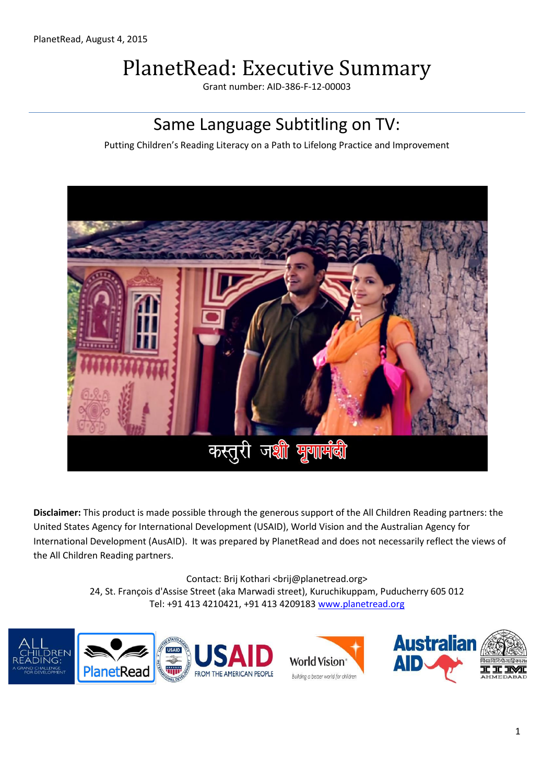# PlanetRead: Executive Summary

Grant number: AID-386-F-12-00003

# Same Language Subtitling on TV:

Putting Children's Reading Literacy on a Path to Lifelong Practice and Improvement



**Disclaimer:** This product is made possible through the generous support of the All Children Reading partners: the United States Agency for International Development (USAID), World Vision and the Australian Agency for International Development (AusAID). It was prepared by PlanetRead and does not necessarily reflect the views of the All Children Reading partners.

> Contact: Brij Kothari <br />brij@planetread.org> 24, St. François d'Assise Street (aka Marwadi street), Kuruchikuppam, Puducherry 605 012 Tel: +91 413 4210421, +91 413 4209183 [www.planetread.org](http://www.planetread.org/)

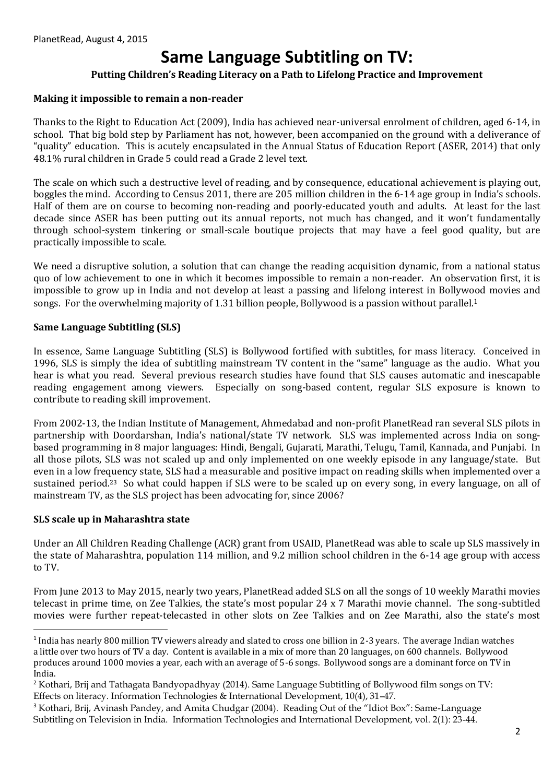# **Same Language Subtitling on TV:**

## **Putting Children's Reading Literacy on a Path to Lifelong Practice and Improvement**

#### **Making it impossible to remain a non-reader**

Thanks to the Right to Education Act (2009), India has achieved near-universal enrolment of children, aged 6-14, in school. That big bold step by Parliament has not, however, been accompanied on the ground with a deliverance of "quality" education. This is acutely encapsulated in the Annual Status of Education Report (ASER, 2014) that only 48.1% rural children in Grade 5 could read a Grade 2 level text.

The scale on which such a destructive level of reading, and by consequence, educational achievement is playing out, boggles the mind. According to Census 2011, there are 205 million children in the 6-14 age group in India's schools. Half of them are on course to becoming non-reading and poorly-educated youth and adults. At least for the last decade since ASER has been putting out its annual reports, not much has changed, and it won't fundamentally through school-system tinkering or small-scale boutique projects that may have a feel good quality, but are practically impossible to scale.

We need a disruptive solution, a solution that can change the reading acquisition dynamic, from a national status quo of low achievement to one in which it becomes impossible to remain a non-reader. An observation first, it is impossible to grow up in India and not develop at least a passing and lifelong interest in Bollywood movies and songs. For the overwhelming majority of 1.31 billion people, Bollywood is a passion without parallel.<sup>1</sup>

#### **Same Language Subtitling (SLS)**

In essence, Same Language Subtitling (SLS) is Bollywood fortified with subtitles, for mass literacy. Conceived in 1996, SLS is simply the idea of subtitling mainstream TV content in the "same" language as the audio. What you hear is what you read. Several previous research studies have found that SLS causes automatic and inescapable reading engagement among viewers. Especially on song-based content, regular SLS exposure is known to contribute to reading skill improvement.

From 2002-13, the Indian Institute of Management, Ahmedabad and non-profit PlanetRead ran several SLS pilots in partnership with Doordarshan, India's national/state TV network. SLS was implemented across India on songbased programming in 8 major languages: Hindi, Bengali, Gujarati, Marathi, Telugu, Tamil, Kannada, and Punjabi. In all those pilots, SLS was not scaled up and only implemented on one weekly episode in any language/state. But even in a low frequency state, SLS had a measurable and positive impact on reading skills when implemented over a sustained period.<sup>23</sup> So what could happen if SLS were to be scaled up on every song, in every language, on all of mainstream TV, as the SLS project has been advocating for, since 2006?

#### **SLS scale up in Maharashtra state**

1

Under an All Children Reading Challenge (ACR) grant from USAID, PlanetRead was able to scale up SLS massively in the state of Maharashtra, population 114 million, and 9.2 million school children in the 6-14 age group with access to TV.

From June 2013 to May 2015, nearly two years, PlanetRead added SLS on all the songs of 10 weekly Marathi movies telecast in prime time, on Zee Talkies, the state's most popular 24 x 7 Marathi movie channel. The song-subtitled movies were further repeat-telecasted in other slots on Zee Talkies and on Zee Marathi, also the state's most

<sup>1</sup> India has nearly 800 million TV viewers already and slated to cross one billion in 2-3 years. The average Indian watches a little over two hours of TV a day. Content is available in a mix of more than 20 languages, on 600 channels. Bollywood produces around 1000 movies a year, each with an average of 5-6 songs. Bollywood songs are a dominant force on TV in India.

<sup>2</sup> Kothari, Brij and Tathagata Bandyopadhyay (2014). Same Language Subtitling of Bollywood film songs on TV: Effects on literacy. Information Technologies & International Development, 10(4), 31–47.

<sup>&</sup>lt;sup>3</sup> Kothari, Brij, Avinash Pandey, and Amita Chudgar (2004). Reading Out of the "Idiot Box": Same-Language Subtitling on Television in India. Information Technologies and International Development, vol. 2(1): 23-44.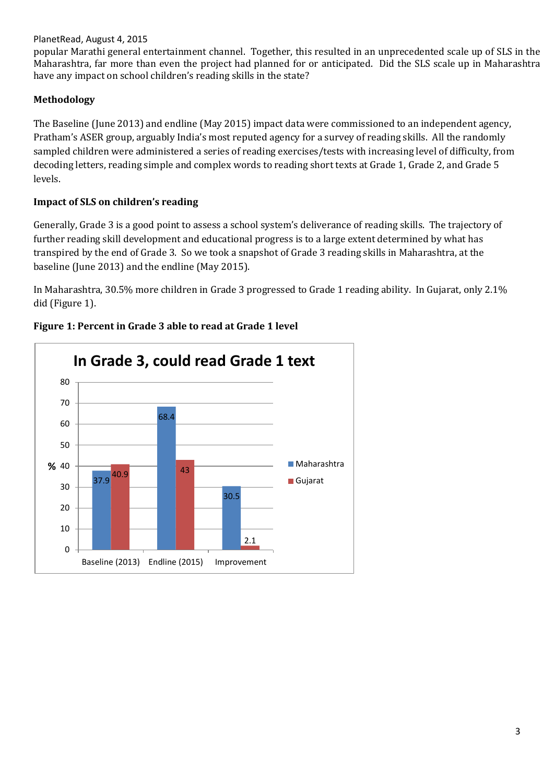### PlanetRead, August 4, 2015

popular Marathi general entertainment channel. Together, this resulted in an unprecedented scale up of SLS in the Maharashtra, far more than even the project had planned for or anticipated. Did the SLS scale up in Maharashtra have any impact on school children's reading skills in the state?

# **Methodology**

The Baseline (June 2013) and endline (May 2015) impact data were commissioned to an independent agency, Pratham's ASER group, arguably India's most reputed agency for a survey of reading skills. All the randomly sampled children were administered a series of reading exercises/tests with increasing level of difficulty, from decoding letters, reading simple and complex words to reading short texts at Grade 1, Grade 2, and Grade 5 levels.

# **Impact of SLS on children's reading**

Generally, Grade 3 is a good point to assess a school system's deliverance of reading skills. The trajectory of further reading skill development and educational progress is to a large extent determined by what has transpired by the end of Grade 3. So we took a snapshot of Grade 3 reading skills in Maharashtra, at the baseline (June 2013) and the endline (May 2015).

In Maharashtra, 30.5% more children in Grade 3 progressed to Grade 1 reading ability. In Gujarat, only 2.1% did (Figure 1).



## **Figure 1: Percent in Grade 3 able to read at Grade 1 level**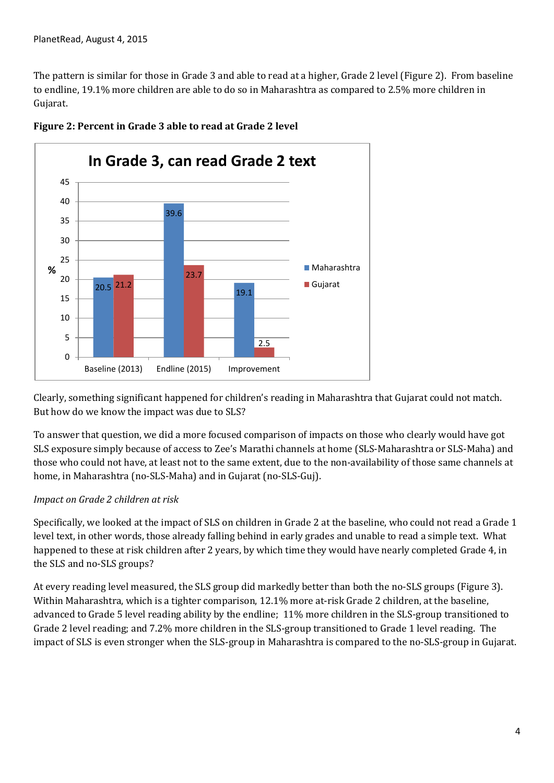The pattern is similar for those in Grade 3 and able to read at a higher, Grade 2 level (Figure 2). From baseline to endline, 19.1% more children are able to do so in Maharashtra as compared to 2.5% more children in Gujarat.



**Figure 2: Percent in Grade 3 able to read at Grade 2 level**

Clearly, something significant happened for children's reading in Maharashtra that Gujarat could not match. But how do we know the impact was due to SLS?

To answer that question, we did a more focused comparison of impacts on those who clearly would have got SLS exposure simply because of access to Zee's Marathi channels at home (SLS-Maharashtra or SLS-Maha) and those who could not have, at least not to the same extent, due to the non-availability of those same channels at home, in Maharashtra (no-SLS-Maha) and in Gujarat (no-SLS-Guj).

#### *Impact on Grade 2 children at risk*

Specifically, we looked at the impact of SLS on children in Grade 2 at the baseline, who could not read a Grade 1 level text, in other words, those already falling behind in early grades and unable to read a simple text. What happened to these at risk children after 2 years, by which time they would have nearly completed Grade 4, in the SLS and no-SLS groups?

At every reading level measured, the SLS group did markedly better than both the no-SLS groups (Figure 3). Within Maharashtra, which is a tighter comparison, 12.1% more at-risk Grade 2 children, at the baseline, advanced to Grade 5 level reading ability by the endline; 11% more children in the SLS-group transitioned to Grade 2 level reading; and 7.2% more children in the SLS-group transitioned to Grade 1 level reading. The impact of SLS is even stronger when the SLS-group in Maharashtra is compared to the no-SLS-group in Gujarat.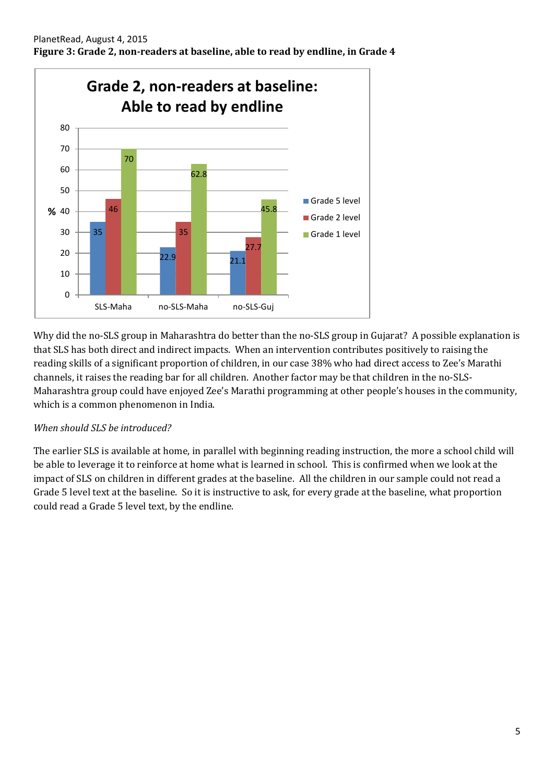

Why did the no-SLS group in Maharashtra do better than the no-SLS group in Gujarat? A possible explanation is that SLS has both direct and indirect impacts. When an intervention contributes positively to raising the reading skills of a significant proportion of children, in our case 38% who had direct access to Zee's Marathi channels, it raises the reading bar for all children. Another factor may be that children in the no-SLS-Maharashtra group could have enjoyed Zee's Marathi programming at other people's houses in the community, which is a common phenomenon in India.

# *When should SLS be introduced?*

The earlier SLS is available at home, in parallel with beginning reading instruction, the more a school child will be able to leverage it to reinforce at home what is learned in school. This is confirmed when we look at the impact of SLS on children in different grades at the baseline. All the children in our sample could not read a Grade 5 level text at the baseline. So it is instructive to ask, for every grade at the baseline, what proportion could read a Grade 5 level text, by the endline.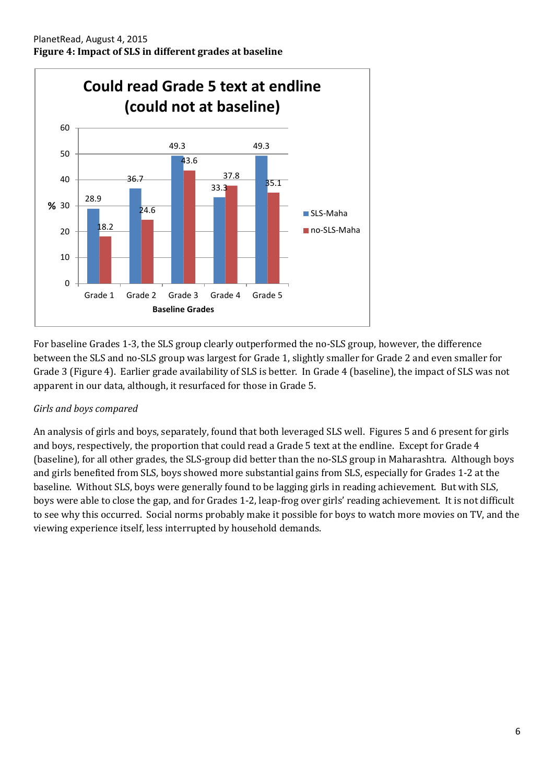

For baseline Grades 1-3, the SLS group clearly outperformed the no-SLS group, however, the difference between the SLS and no-SLS group was largest for Grade 1, slightly smaller for Grade 2 and even smaller for Grade 3 (Figure 4). Earlier grade availability of SLS is better. In Grade 4 (baseline), the impact of SLS was not apparent in our data, although, it resurfaced for those in Grade 5.

# *Girls and boys compared*

An analysis of girls and boys, separately, found that both leveraged SLS well. Figures 5 and 6 present for girls and boys, respectively, the proportion that could read a Grade 5 text at the endline. Except for Grade 4 (baseline), for all other grades, the SLS-group did better than the no-SLS group in Maharashtra. Although boys and girls benefited from SLS, boys showed more substantial gains from SLS, especially for Grades 1-2 at the baseline. Without SLS, boys were generally found to be lagging girls in reading achievement. But with SLS, boys were able to close the gap, and for Grades 1-2, leap-frog over girls' reading achievement. It is not difficult to see why this occurred. Social norms probably make it possible for boys to watch more movies on TV, and the viewing experience itself, less interrupted by household demands.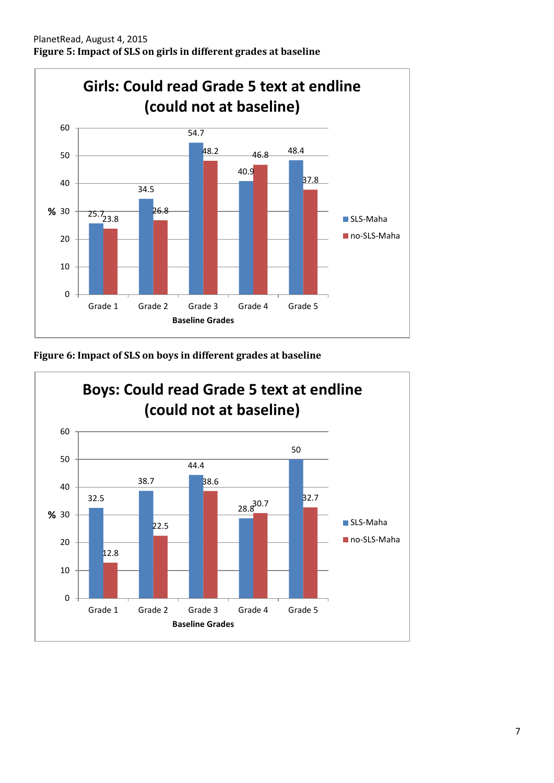

**Figure 6: Impact of SLS on boys in different grades at baseline**